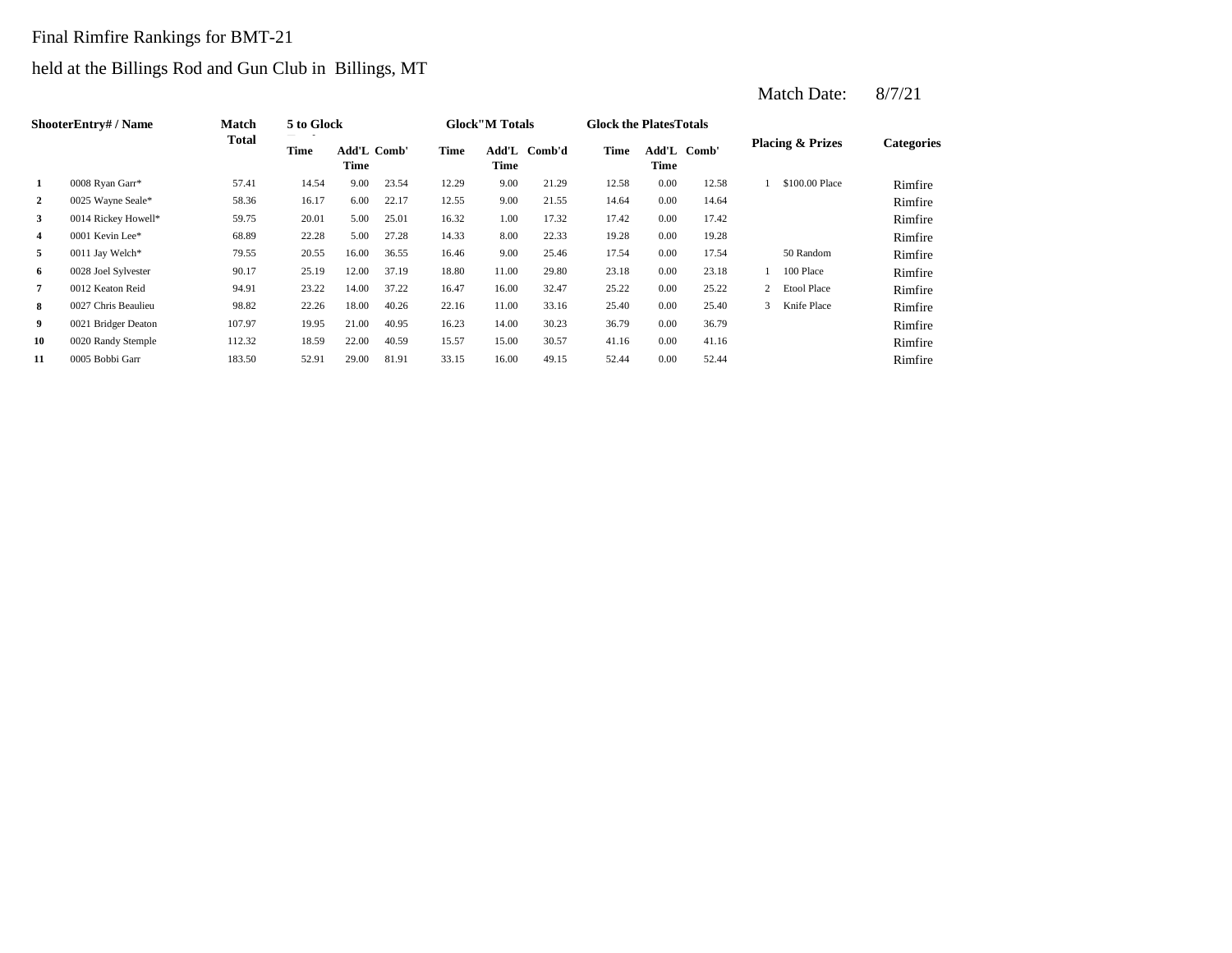# Final Rimfire Rankings for BMT-21

# held at the Billings Rod and Gun Club in Billings, MT

|                | ShooterEntry# / Name | <b>Match</b> | 5 to Glock |                            |       |             | <b>Glock</b> "M Totals |        | <b>Glock the Plates Totals</b> |                     |       |   |                             |                   |
|----------------|----------------------|--------------|------------|----------------------------|-------|-------------|------------------------|--------|--------------------------------|---------------------|-------|---|-----------------------------|-------------------|
|                |                      | Total        | Time       | <b>Add'L Comb'</b><br>Time |       | <b>Time</b> | Add'L<br>Time          | Comb'd | Time                           | Add'L Comb'<br>Time |       |   | <b>Placing &amp; Prizes</b> | <b>Categories</b> |
| 1              | 0008 Ryan Garr*      | 57.41        | 14.54      | 9.00                       | 23.54 | 12.29       | 9.00                   | 21.29  | 12.58                          | 0.00                | 12.58 |   | \$100.00 Place              | Rimfire           |
| $\overline{2}$ | 0025 Wayne Seale*    | 58.36        | 16.17      | 6.00                       | 22.17 | 12.55       | 9.00                   | 21.55  | 14.64                          | 0.00                | 14.64 |   |                             | Rimfire           |
| 3              | 0014 Rickey Howell*  | 59.75        | 20.01      | 5.00                       | 25.01 | 16.32       | 1.00                   | 17.32  | 17.42                          | 0.00                | 17.42 |   |                             | Rimfire           |
| $\overline{4}$ | 0001 Kevin Lee*      | 68.89        | 22.28      | 5.00                       | 27.28 | 14.33       | 8.00                   | 22.33  | 19.28                          | 0.00                | 19.28 |   |                             | Rimfire           |
| 5              | 0011 Jay Welch*      | 79.55        | 20.55      | 16.00                      | 36.55 | 16.46       | 9.00                   | 25.46  | 17.54                          | 0.00                | 17.54 |   | 50 Random                   | Rimfire           |
| 6              | 0028 Joel Sylvester  | 90.17        | 25.19      | 12.00                      | 37.19 | 18.80       | 11.00                  | 29.80  | 23.18                          | 0.00                | 23.18 |   | 100 Place                   | Rimfire           |
| 7              | 0012 Keaton Reid     | 94.91        | 23.22      | 14.00                      | 37.22 | 16.47       | 16.00                  | 32.47  | 25.22                          | 0.00                | 25.22 |   | 2 Etool Place               | Rimfire           |
| 8              | 0027 Chris Beaulieu  | 98.82        | 22.26      | 18.00                      | 40.26 | 22.16       | 11.00                  | 33.16  | 25.40                          | 0.00                | 25.40 | 3 | Knife Place                 | Rimfire           |
| 9              | 0021 Bridger Deaton  | 107.97       | 19.95      | 21.00                      | 40.95 | 16.23       | 14.00                  | 30.23  | 36.79                          | 0.00                | 36.79 |   |                             | Rimfire           |
| 10             | 0020 Randy Stemple   | 112.32       | 18.59      | 22.00                      | 40.59 | 15.57       | 15.00                  | 30.57  | 41.16                          | 0.00                | 41.16 |   |                             | Rimfire           |
| 11             | 0005 Bobbi Garr      | 183.50       | 52.91      | 29.00                      | 81.91 | 33.15       | 16.00                  | 49.15  | 52.44                          | 0.00                | 52.44 |   |                             | Rimfire           |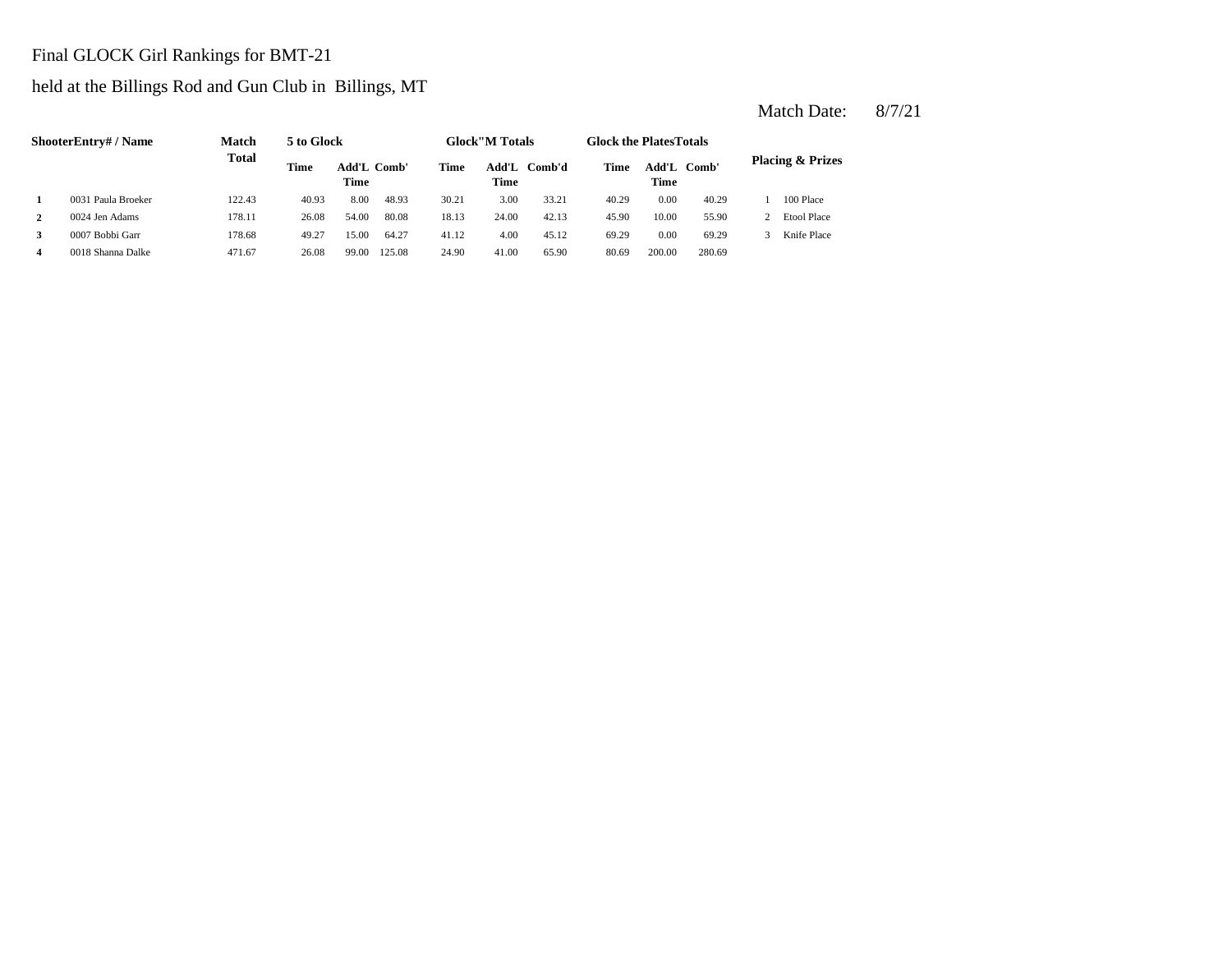### Final GLOCK Girl Rankings for BMT-21

# held at the Billings Rod and Gun Club in Billings, MT

|   | ShooterEntry#/Name | <b>Match</b> | 5 to Glock |                                   |        |       | <b>Glock</b> "M Totals |        | <b>Glock the PlatesTotals</b> |               |        |                             |
|---|--------------------|--------------|------------|-----------------------------------|--------|-------|------------------------|--------|-------------------------------|---------------|--------|-----------------------------|
|   |                    | <b>Total</b> | Time       | <b>Add'L Comb'</b><br><b>Time</b> |        | Time  | Add'L<br>Time          | Comb'd | Time                          | Add'L<br>Time | Comb'  | <b>Placing &amp; Prizes</b> |
|   | 0031 Paula Broeker | 122.43       | 40.93      | 8.00                              | 48.93  | 30.21 | 3.00                   | 33.21  | 40.29                         | 0.00          | 40.29  | 100 Place                   |
|   | 0024 Jen Adams     | 178.11       | 26.08      | 54.00                             | 80.08  | 18.13 | 24.00                  | 42.13  | 45.90                         | 10.00         | 55.90  | <b>Etool Place</b>          |
|   | 0007 Bobbi Garr    | 178.68       | 49.27      | 15.00                             | 64.27  | 41.12 | 4.00                   | 45.12  | 69.29                         | 0.00          | 69.29  | Knife Place                 |
| 4 | 0018 Shanna Dalke  | 471.67       | 26.08      | 99.00                             | 125.08 | 24.90 | 41.00                  | 65.90  | 80.69                         | 200.00        | 280.69 |                             |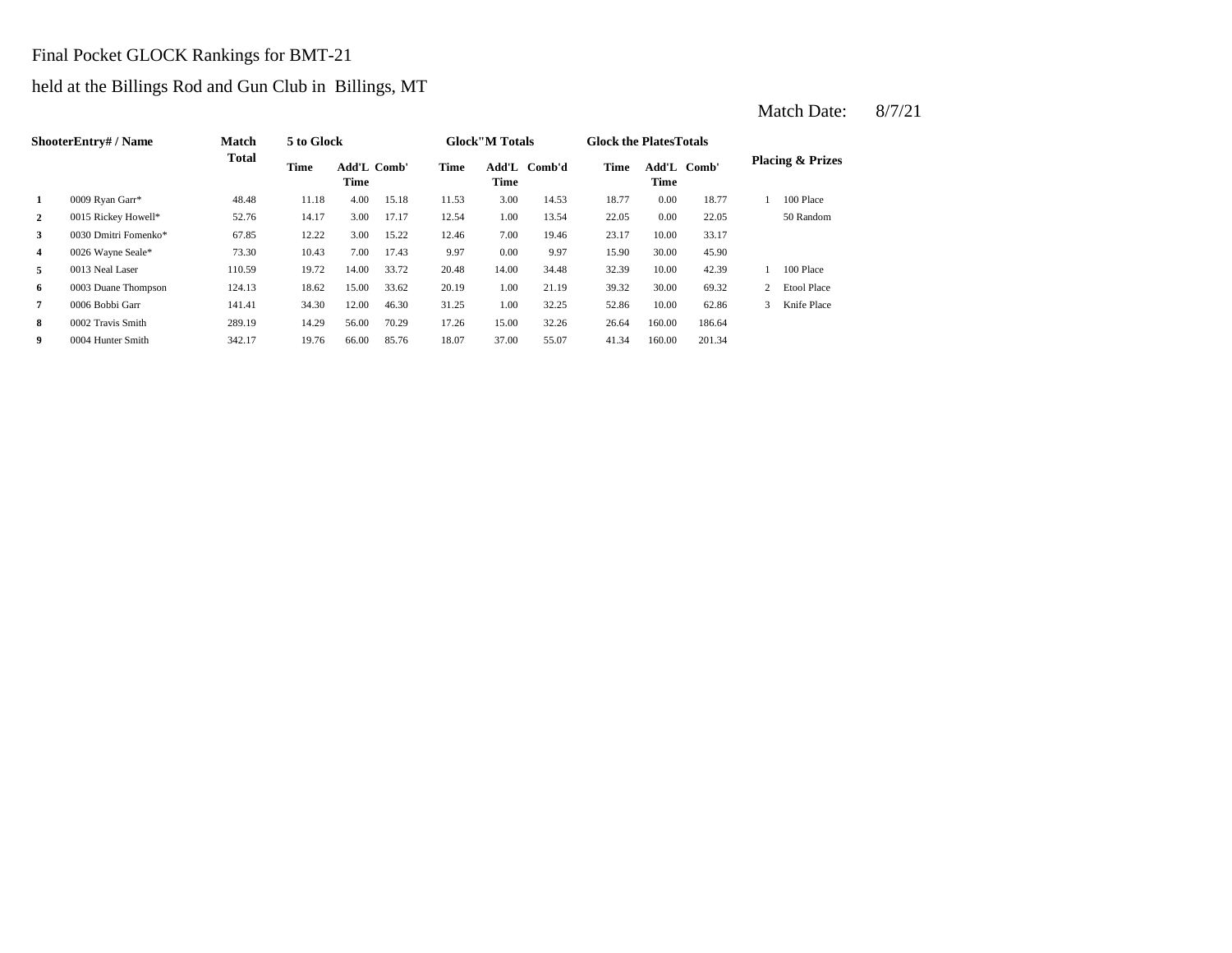#### Final Pocket GLOCK Rankings for BMT-21

# held at the Billings Rod and Gun Club in Billings, MT

|    | ShooterEntry#/Name   | <b>Match</b> | 5 to Glock |                            |       |             | <b>Glock</b> "M Totals |              | <b>Glock the Plates Totals</b> |        |             |   |                             |
|----|----------------------|--------------|------------|----------------------------|-------|-------------|------------------------|--------------|--------------------------------|--------|-------------|---|-----------------------------|
|    |                      | <b>Total</b> | Time       | <b>Add'L Comb'</b><br>Time |       | <b>Time</b> | Time                   | Add'L Comb'd | Time                           | Time   | Add'L Comb' |   | <b>Placing &amp; Prizes</b> |
| 1  | 0009 Ryan Garr*      | 48.48        | 11.18      | 4.00                       | 15.18 | 11.53       | 3.00                   | 14.53        | 18.77                          | 0.00   | 18.77       |   | 100 Place                   |
| 2  | 0015 Rickey Howell*  | 52.76        | 14.17      | 3.00                       | 17.17 | 12.54       | 1.00                   | 13.54        | 22.05                          | 0.00   | 22.05       |   | 50 Random                   |
| 3  | 0030 Dmitri Fomenko* | 67.85        | 12.22      | 3.00                       | 15.22 | 12.46       | 7.00                   | 19.46        | 23.17                          | 10.00  | 33.17       |   |                             |
| 4  | 0026 Wayne Seale*    | 73.30        | 10.43      | 7.00                       | 17.43 | 9.97        | 0.00                   | 9.97         | 15.90                          | 30.00  | 45.90       |   |                             |
| 5. | 0013 Neal Laser      | 110.59       | 19.72      | 14.00                      | 33.72 | 20.48       | 14.00                  | 34.48        | 32.39                          | 10.00  | 42.39       |   | 100 Place                   |
| 6  | 0003 Duane Thompson  | 124.13       | 18.62      | 15.00                      | 33.62 | 20.19       | 1.00                   | 21.19        | 39.32                          | 30.00  | 69.32       |   | <b>Etool Place</b>          |
| 7  | 0006 Bobbi Garr      | 141.41       | 34.30      | 12.00                      | 46.30 | 31.25       | 1.00                   | 32.25        | 52.86                          | 10.00  | 62.86       | 3 | Knife Place                 |
| 8  | 0002 Travis Smith    | 289.19       | 14.29      | 56.00                      | 70.29 | 17.26       | 15.00                  | 32.26        | 26.64                          | 160.00 | 186.64      |   |                             |
| 9  | 0004 Hunter Smith    | 342.17       | 19.76      | 66.00                      | 85.76 | 18.07       | 37.00                  | 55.07        | 41.34                          | 160.00 | 201.34      |   |                             |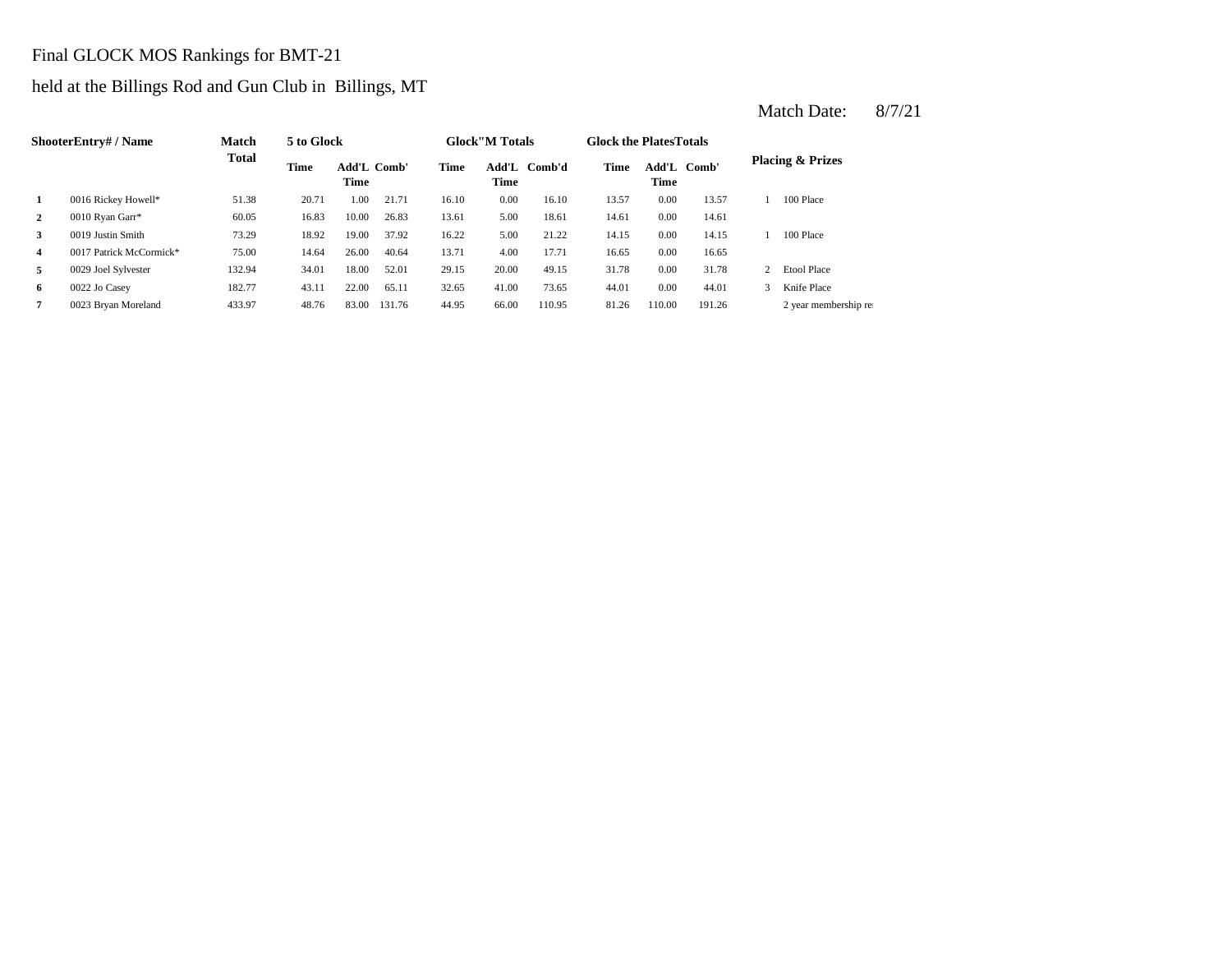# Final GLOCK MOS Rankings for BMT-21

# held at the Billings Rod and Gun Club in Billings, MT

|              | <b>ShooterEntry#/Name</b> | <b>Match</b> | 5 to Glock |                            |        |       | <b>Glock</b> "M Totals |        | <b>Glock the PlatesTotals</b> |               |        |               |                             |
|--------------|---------------------------|--------------|------------|----------------------------|--------|-------|------------------------|--------|-------------------------------|---------------|--------|---------------|-----------------------------|
|              |                           | <b>Total</b> | Time       | <b>Add'L Comb'</b><br>Time |        | Time  | Add'L<br>Time          | Comb'd | Time                          | Add'L<br>Time | Comb'  |               | <b>Placing &amp; Prizes</b> |
|              | 0016 Rickey Howell*       | 51.38        | 20.71      | 1.00                       | 21.71  | 16.10 | 0.00                   | 16.10  | 13.57                         | 0.00          | 13.57  |               | 100 Place                   |
| $\mathbf{2}$ | 0010 Ryan Garr*           | 60.05        | 16.83      | 10.00                      | 26.83  | 13.61 | 5.00                   | 18.61  | 14.61                         | 0.00          | 14.61  |               |                             |
| 3            | 0019 Justin Smith         | 73.29        | 18.92      | 19.00                      | 37.92  | 16.22 | 5.00                   | 21.22  | 14.15                         | 0.00          | 14.15  |               | 100 Place                   |
| 4            | 0017 Patrick McCormick*   | 75.00        | 14.64      | 26.00                      | 40.64  | 13.71 | 4.00                   | 17.71  | 16.65                         | 0.00          | 16.65  |               |                             |
| 5            | 0029 Joel Sylvester       | 132.94       | 34.01      | 18.00                      | 52.01  | 29.15 | 20.00                  | 49.15  | 31.78                         | 0.00          | 31.78  |               | <b>Etool Place</b>          |
| 6            | 0022 Jo Casey             | 182.77       | 43.11      | 22.00                      | 65.11  | 32.65 | 41.00                  | 73.65  | 44.01                         | 0.00          | 44.01  | $\mathcal{F}$ | Knife Place                 |
|              | 0023 Bryan Moreland       | 433.97       | 48.76      | 83.00                      | 131.76 | 44.95 | 66.00                  | 110.95 | 81.26                         | 110.00        | 191.26 |               | 2 year membership rea       |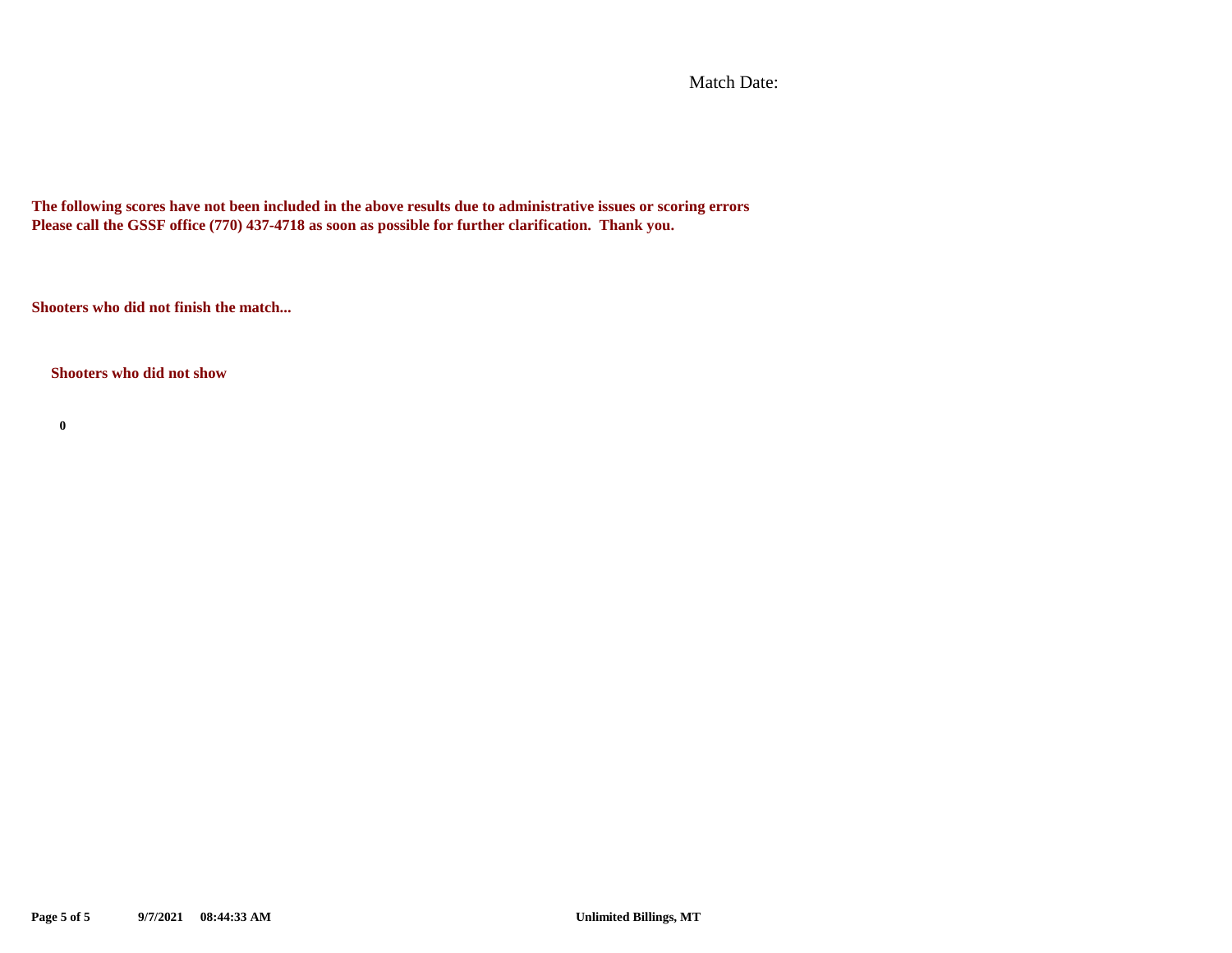Match Date:

**The following scores have not been included in the above results due to administrative issues or scoring errors Please call the GSSF office (770) 437-4718 as soon as possible for further clarification. Thank you.**

**Shooters who did not finish the match...**

**Shooters who did not show**

**0**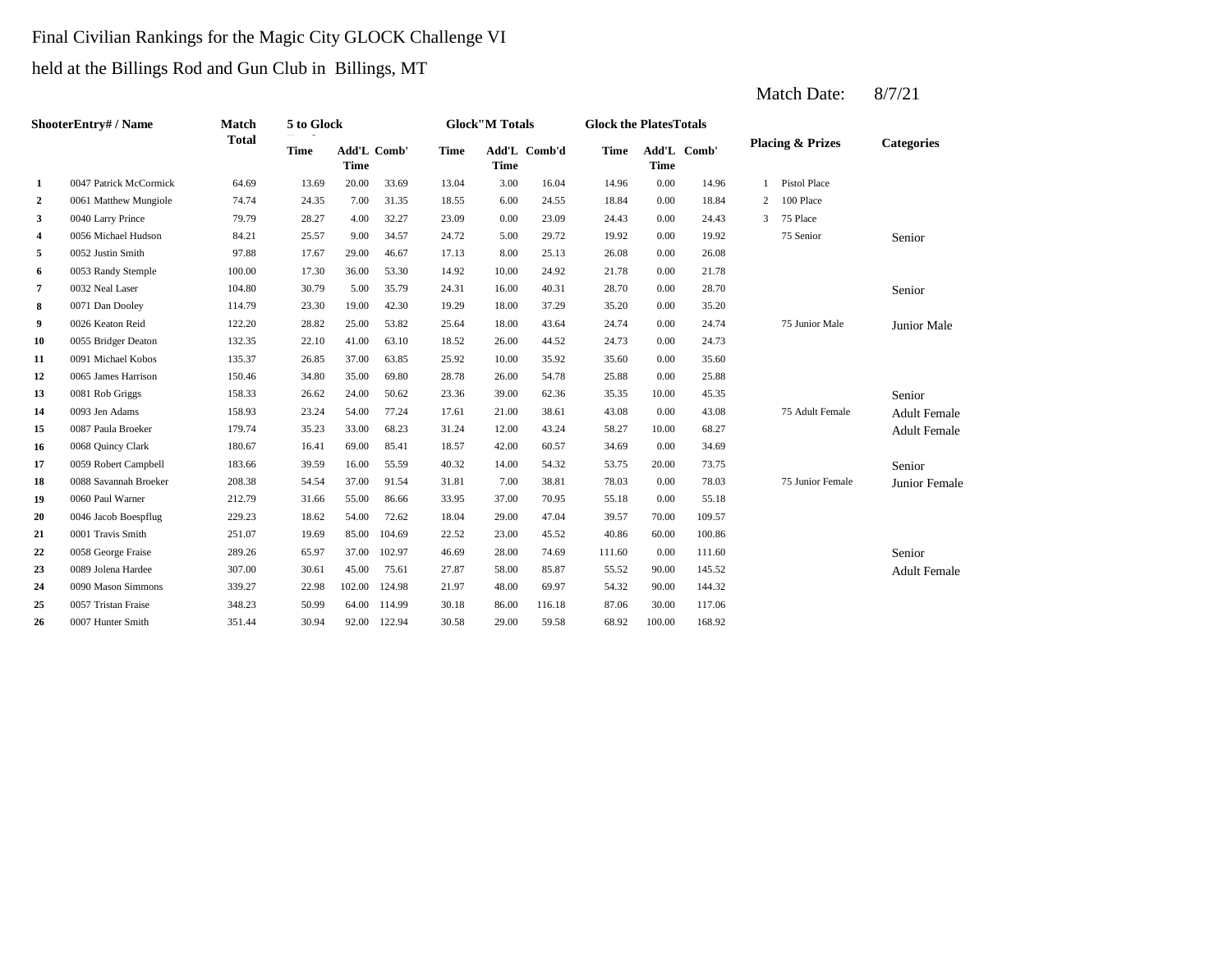# Final Civilian Rankings for the Magic City GLOCK Challenge VI

held at the Billings Rod and Gun Club in Billings, MT

|                         | <b>ShooterEntry#/Name</b> | Match        | 5 to Glock  |                            |        |             | <b>Glock</b> "M Totals |              | <b>Glock the PlatesTotals</b> |             |             |   |                             |                     |
|-------------------------|---------------------------|--------------|-------------|----------------------------|--------|-------------|------------------------|--------------|-------------------------------|-------------|-------------|---|-----------------------------|---------------------|
|                         |                           | <b>Total</b> | <b>Time</b> | Add'L Comb'<br><b>Time</b> |        | <b>Time</b> | <b>Time</b>            | Add'L Comb'd | <b>Time</b>                   | <b>Time</b> | Add'L Comb' |   | <b>Placing &amp; Prizes</b> | <b>Categories</b>   |
| 1                       | 0047 Patrick McCormick    | 64.69        | 13.69       | 20.00                      | 33.69  | 13.04       | 3.00                   | 16.04        | 14.96                         | 0.00        | 14.96       | 1 | <b>Pistol Place</b>         |                     |
| 2                       | 0061 Matthew Mungiole     | 74.74        | 24.35       | 7.00                       | 31.35  | 18.55       | 6.00                   | 24.55        | 18.84                         | 0.00        | 18.84       | 2 | 100 Place                   |                     |
| 3                       | 0040 Larry Prince         | 79.79        | 28.27       | 4.00                       | 32.27  | 23.09       | 0.00                   | 23.09        | 24.43                         | 0.00        | 24.43       | 3 | 75 Place                    |                     |
| $\overline{\mathbf{4}}$ | 0056 Michael Hudson       | 84.21        | 25.57       | 9.00                       | 34.57  | 24.72       | 5.00                   | 29.72        | 19.92                         | 0.00        | 19.92       |   | 75 Senior                   | Senior              |
| 5                       | 0052 Justin Smith         | 97.88        | 17.67       | 29.00                      | 46.67  | 17.13       | 8.00                   | 25.13        | 26.08                         | 0.00        | 26.08       |   |                             |                     |
| 6                       | 0053 Randy Stemple        | 100.00       | 17.30       | 36.00                      | 53.30  | 14.92       | 10.00                  | 24.92        | 21.78                         | 0.00        | 21.78       |   |                             |                     |
| 7                       | 0032 Neal Laser           | 104.80       | 30.79       | 5.00                       | 35.79  | 24.31       | 16.00                  | 40.31        | 28.70                         | 0.00        | 28.70       |   |                             | Senior              |
| 8                       | 0071 Dan Dooley           | 114.79       | 23.30       | 19.00                      | 42.30  | 19.29       | 18.00                  | 37.29        | 35.20                         | 0.00        | 35.20       |   |                             |                     |
| 9                       | 0026 Keaton Reid          | 122.20       | 28.82       | 25.00                      | 53.82  | 25.64       | 18.00                  | 43.64        | 24.74                         | 0.00        | 24.74       |   | 75 Junior Male              | Junior Male         |
| 10                      | 0055 Bridger Deaton       | 132.35       | 22.10       | 41.00                      | 63.10  | 18.52       | 26.00                  | 44.52        | 24.73                         | 0.00        | 24.73       |   |                             |                     |
| 11                      | 0091 Michael Kobos        | 135.37       | 26.85       | 37.00                      | 63.85  | 25.92       | 10.00                  | 35.92        | 35.60                         | 0.00        | 35.60       |   |                             |                     |
| 12                      | 0065 James Harrison       | 150.46       | 34.80       | 35.00                      | 69.80  | 28.78       | 26.00                  | 54.78        | 25.88                         | 0.00        | 25.88       |   |                             |                     |
| 13                      | 0081 Rob Griggs           | 158.33       | 26.62       | 24.00                      | 50.62  | 23.36       | 39.00                  | 62.36        | 35.35                         | 10.00       | 45.35       |   |                             | Senior              |
| 14                      | 0093 Jen Adams            | 158.93       | 23.24       | 54.00                      | 77.24  | 17.61       | 21.00                  | 38.61        | 43.08                         | 0.00        | 43.08       |   | 75 Adult Female             | <b>Adult Female</b> |
| 15                      | 0087 Paula Broeker        | 179.74       | 35.23       | 33.00                      | 68.23  | 31.24       | 12.00                  | 43.24        | 58.27                         | 10.00       | 68.27       |   |                             | <b>Adult Female</b> |
| 16                      | 0068 Quincy Clark         | 180.67       | 16.41       | 69.00                      | 85.41  | 18.57       | 42.00                  | 60.57        | 34.69                         | 0.00        | 34.69       |   |                             |                     |
| 17                      | 0059 Robert Campbell      | 183.66       | 39.59       | 16.00                      | 55.59  | 40.32       | 14.00                  | 54.32        | 53.75                         | 20.00       | 73.75       |   |                             | Senior              |
| 18                      | 0088 Savannah Broeker     | 208.38       | 54.54       | 37.00                      | 91.54  | 31.81       | 7.00                   | 38.81        | 78.03                         | 0.00        | 78.03       |   | 75 Junior Female            | Junior Female       |
| 19                      | 0060 Paul Warner          | 212.79       | 31.66       | 55.00                      | 86.66  | 33.95       | 37.00                  | 70.95        | 55.18                         | 0.00        | 55.18       |   |                             |                     |
| 20                      | 0046 Jacob Boespflug      | 229.23       | 18.62       | 54.00                      | 72.62  | 18.04       | 29.00                  | 47.04        | 39.57                         | 70.00       | 109.57      |   |                             |                     |
| 21                      | 0001 Travis Smith         | 251.07       | 19.69       | 85.00                      | 104.69 | 22.52       | 23.00                  | 45.52        | 40.86                         | 60.00       | 100.86      |   |                             |                     |
| 22                      | 0058 George Fraise        | 289.26       | 65.97       | 37.00                      | 102.97 | 46.69       | 28.00                  | 74.69        | 111.60                        | 0.00        | 111.60      |   |                             | Senior              |
| 23                      | 0089 Jolena Hardee        | 307.00       | 30.61       | 45.00                      | 75.61  | 27.87       | 58.00                  | 85.87        | 55.52                         | 90.00       | 145.52      |   |                             | <b>Adult Female</b> |
| 24                      | 0090 Mason Simmons        | 339.27       | 22.98       | 102.00                     | 124.98 | 21.97       | 48.00                  | 69.97        | 54.32                         | 90.00       | 144.32      |   |                             |                     |
| 25                      | 0057 Tristan Fraise       | 348.23       | 50.99       | 64.00                      | 114.99 | 30.18       | 86.00                  | 116.18       | 87.06                         | 30.00       | 117.06      |   |                             |                     |
| 26                      | 0007 Hunter Smith         | 351.44       | 30.94       | 92.00                      | 122.94 | 30.58       | 29.00                  | 59.58        | 68.92                         | 100.00      | 168.92      |   |                             |                     |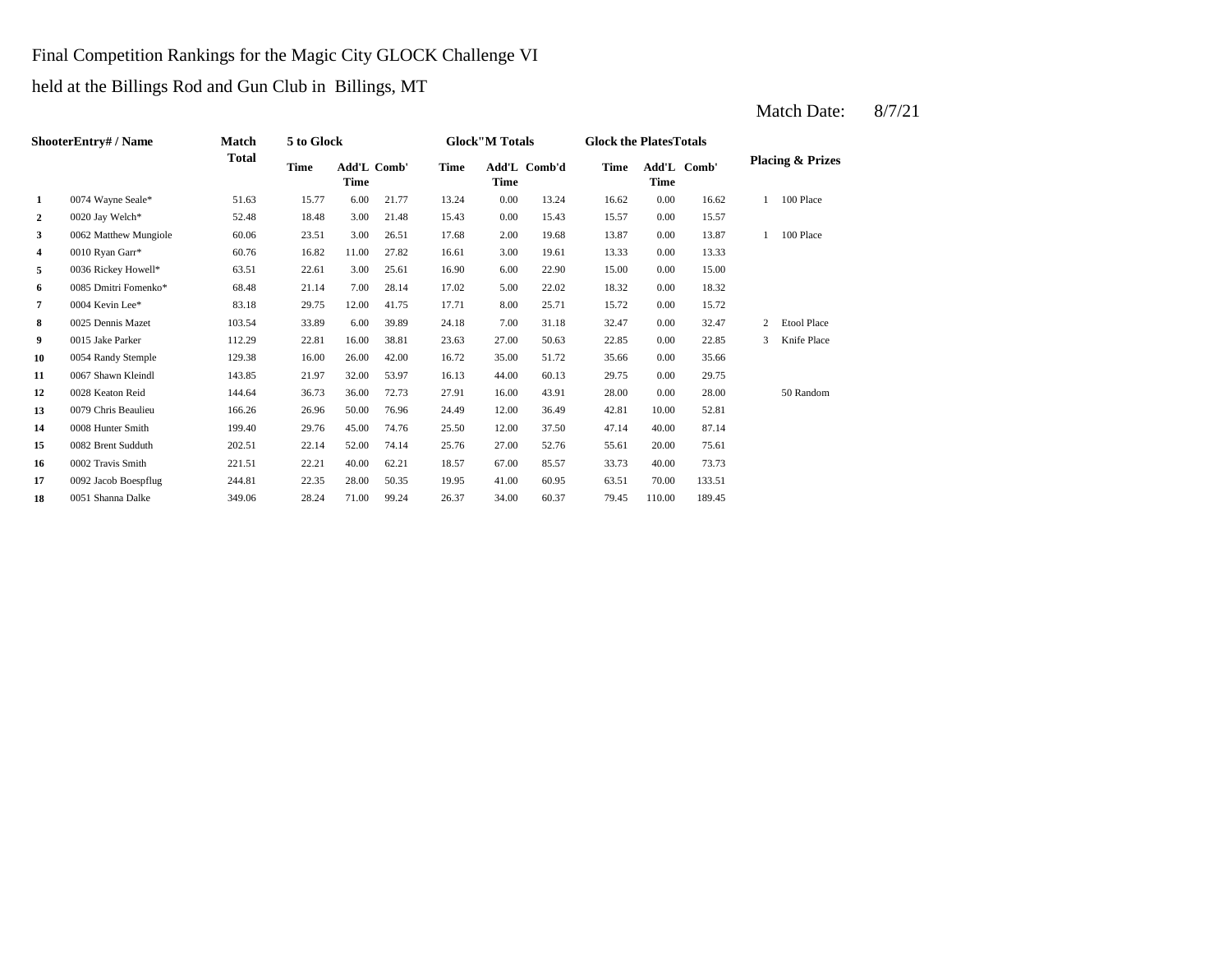### Final Competition Rankings for the Magic City GLOCK Challenge VI

held at the Billings Rod and Gun Club in Billings, MT

|              | ShooterEntry#/Name    | <b>Match</b> | 5 to Glock |             |             |             | <b>Glock"M Totals</b> |              | <b>Glock the Plates Totals</b> |        |             |   |                             |
|--------------|-----------------------|--------------|------------|-------------|-------------|-------------|-----------------------|--------------|--------------------------------|--------|-------------|---|-----------------------------|
|              |                       | <b>Total</b> | Time       | <b>Time</b> | Add'L Comb' | <b>Time</b> | <b>Time</b>           | Add'L Comb'd | <b>Time</b>                    | Time   | Add'L Comb' |   | <b>Placing &amp; Prizes</b> |
| 1            | 0074 Wayne Seale*     | 51.63        | 15.77      | 6.00        | 21.77       | 13.24       | 0.00                  | 13.24        | 16.62                          | 0.00   | 16.62       |   | 100 Place                   |
| $\mathbf{2}$ | 0020 Jay Welch*       | 52.48        | 18.48      | 3.00        | 21.48       | 15.43       | 0.00                  | 15.43        | 15.57                          | 0.00   | 15.57       |   |                             |
| 3            | 0062 Matthew Mungiole | 60.06        | 23.51      | 3.00        | 26.51       | 17.68       | 2.00                  | 19.68        | 13.87                          | 0.00   | 13.87       |   | 100 Place                   |
| 4            | 0010 Ryan Garr*       | 60.76        | 16.82      | 11.00       | 27.82       | 16.61       | 3.00                  | 19.61        | 13.33                          | 0.00   | 13.33       |   |                             |
| 5            | 0036 Rickey Howell*   | 63.51        | 22.61      | 3.00        | 25.61       | 16.90       | 6.00                  | 22.90        | 15.00                          | 0.00   | 15.00       |   |                             |
| 6            | 0085 Dmitri Fomenko*  | 68.48        | 21.14      | 7.00        | 28.14       | 17.02       | 5.00                  | 22.02        | 18.32                          | 0.00   | 18.32       |   |                             |
| 7            | 0004 Kevin Lee*       | 83.18        | 29.75      | 12.00       | 41.75       | 17.71       | 8.00                  | 25.71        | 15.72                          | 0.00   | 15.72       |   |                             |
| 8            | 0025 Dennis Mazet     | 103.54       | 33.89      | 6.00        | 39.89       | 24.18       | 7.00                  | 31.18        | 32.47                          | 0.00   | 32.47       | 2 | <b>Etool Place</b>          |
| 9            | 0015 Jake Parker      | 112.29       | 22.81      | 16.00       | 38.81       | 23.63       | 27.00                 | 50.63        | 22.85                          | 0.00   | 22.85       | 3 | Knife Place                 |
| 10           | 0054 Randy Stemple    | 129.38       | 16.00      | 26.00       | 42.00       | 16.72       | 35.00                 | 51.72        | 35.66                          | 0.00   | 35.66       |   |                             |
| 11           | 0067 Shawn Kleindl    | 143.85       | 21.97      | 32.00       | 53.97       | 16.13       | 44.00                 | 60.13        | 29.75                          | 0.00   | 29.75       |   |                             |
| 12           | 0028 Keaton Reid      | 144.64       | 36.73      | 36.00       | 72.73       | 27.91       | 16.00                 | 43.91        | 28.00                          | 0.00   | 28.00       |   | 50 Random                   |
| 13           | 0079 Chris Beaulieu   | 166.26       | 26.96      | 50.00       | 76.96       | 24.49       | 12.00                 | 36.49        | 42.81                          | 10.00  | 52.81       |   |                             |
| 14           | 0008 Hunter Smith     | 199.40       | 29.76      | 45.00       | 74.76       | 25.50       | 12.00                 | 37.50        | 47.14                          | 40.00  | 87.14       |   |                             |
| 15           | 0082 Brent Sudduth    | 202.51       | 22.14      | 52.00       | 74.14       | 25.76       | 27.00                 | 52.76        | 55.61                          | 20.00  | 75.61       |   |                             |
| 16           | 0002 Travis Smith     | 221.51       | 22.21      | 40.00       | 62.21       | 18.57       | 67.00                 | 85.57        | 33.73                          | 40.00  | 73.73       |   |                             |
| 17           | 0092 Jacob Boespflug  | 244.81       | 22.35      | 28.00       | 50.35       | 19.95       | 41.00                 | 60.95        | 63.51                          | 70.00  | 133.51      |   |                             |
| 18           | 0051 Shanna Dalke     | 349.06       | 28.24      | 71.00       | 99.24       | 26.37       | 34.00                 | 60.37        | 79.45                          | 110.00 | 189.45      |   |                             |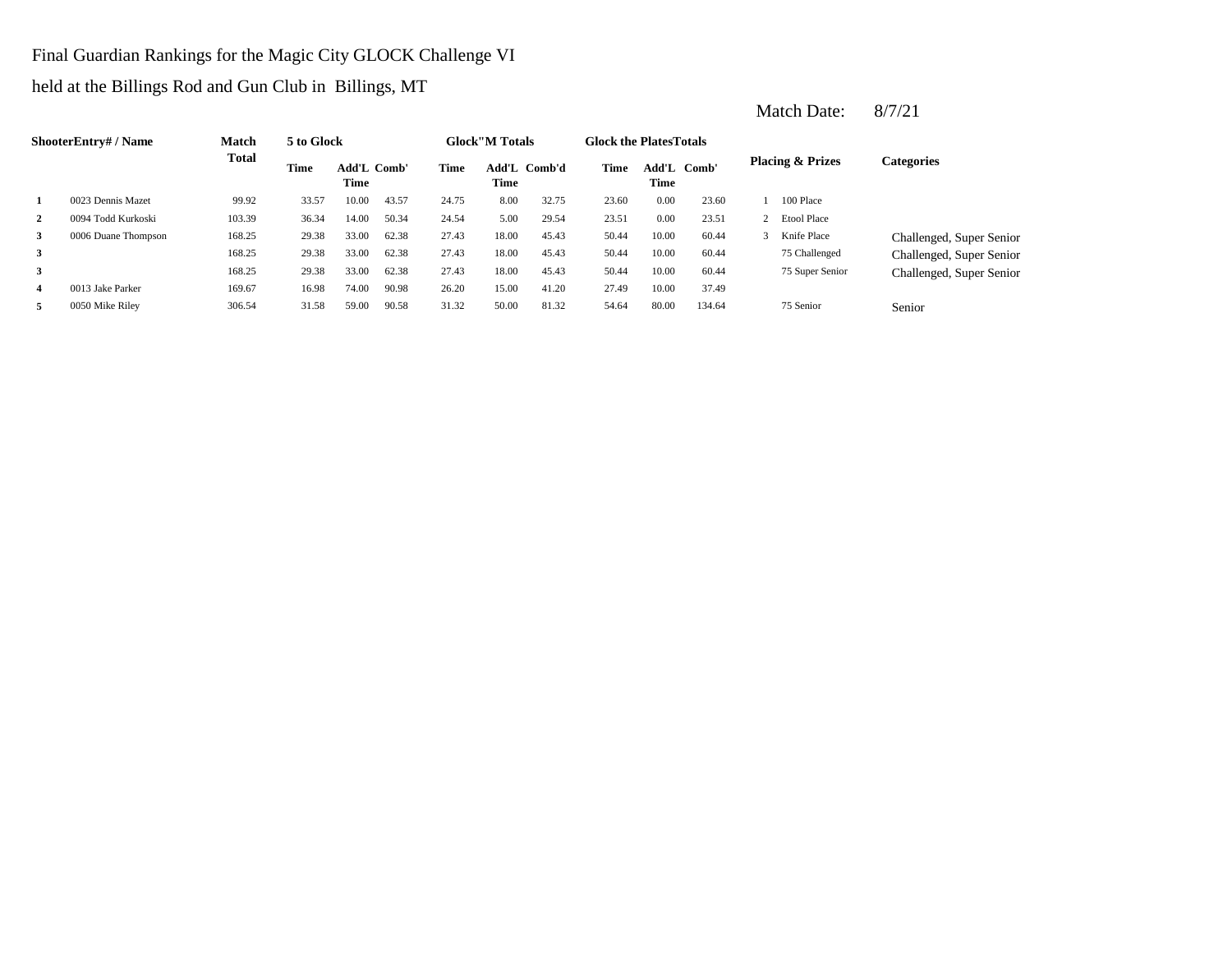Final Guardian Rankings for the Magic City GLOCK Challenge VI

held at the Billings Rod and Gun Club in Billings, MT

|   | <b>ShooterEntry#/Name</b> | Match  | 5 to Glock |                            |       |             | <b>Glock</b> "M Totals |       | <b>Glock the PlatesTotals</b> |                            |        |                             |                          |
|---|---------------------------|--------|------------|----------------------------|-------|-------------|------------------------|-------|-------------------------------|----------------------------|--------|-----------------------------|--------------------------|
|   |                           | Total  | Time       | <b>Add'L Comb'</b><br>Time |       | <b>Time</b> | Add'L Comb'd<br>Time   |       | Time                          | Add'L Comb'<br><b>Time</b> |        | <b>Placing &amp; Prizes</b> | Categories               |
| 1 | 0023 Dennis Mazet         | 99.92  | 33.57      | 10.00                      | 43.57 | 24.75       | 8.00                   | 32.75 | 23.60                         | 0.00                       | 23.60  | 100 Place                   |                          |
| 2 | 0094 Todd Kurkoski        | 103.39 | 36.34      | 14.00                      | 50.34 | 24.54       | 5.00                   | 29.54 | 23.51                         | 0.00                       | 23.51  | 2 Etool Place               |                          |
| 3 | 0006 Duane Thompson       | 168.25 | 29.38      | 33.00                      | 62.38 | 27.43       | 18.00                  | 45.43 | 50.44                         | 10.00                      | 60.44  | Knife Place                 | Challenged, Super Senior |
| 3 |                           | 168.25 | 29.38      | 33.00                      | 62.38 | 27.43       | 18.00                  | 45.43 | 50.44                         | 10.00                      | 60.44  | 75 Challenged               | Challenged, Super Senior |
| 3 |                           | 168.25 | 29.38      | 33.00                      | 62.38 | 27.43       | 18.00                  | 45.43 | 50.44                         | 10.00                      | 60.44  | 75 Super Senior             | Challenged, Super Senior |
| 4 | 0013 Jake Parker          | 169.67 | 16.98      | 74.00                      | 90.98 | 26.20       | 15.00                  | 41.20 | 27.49                         | 10.00                      | 37.49  |                             |                          |
| 5 | 0050 Mike Riley           | 306.54 | 31.58      | 59.00                      | 90.58 | 31.32       | 50.00                  | 81.32 | 54.64                         | 80.00                      | 134.64 | 75 Senior                   | Senior                   |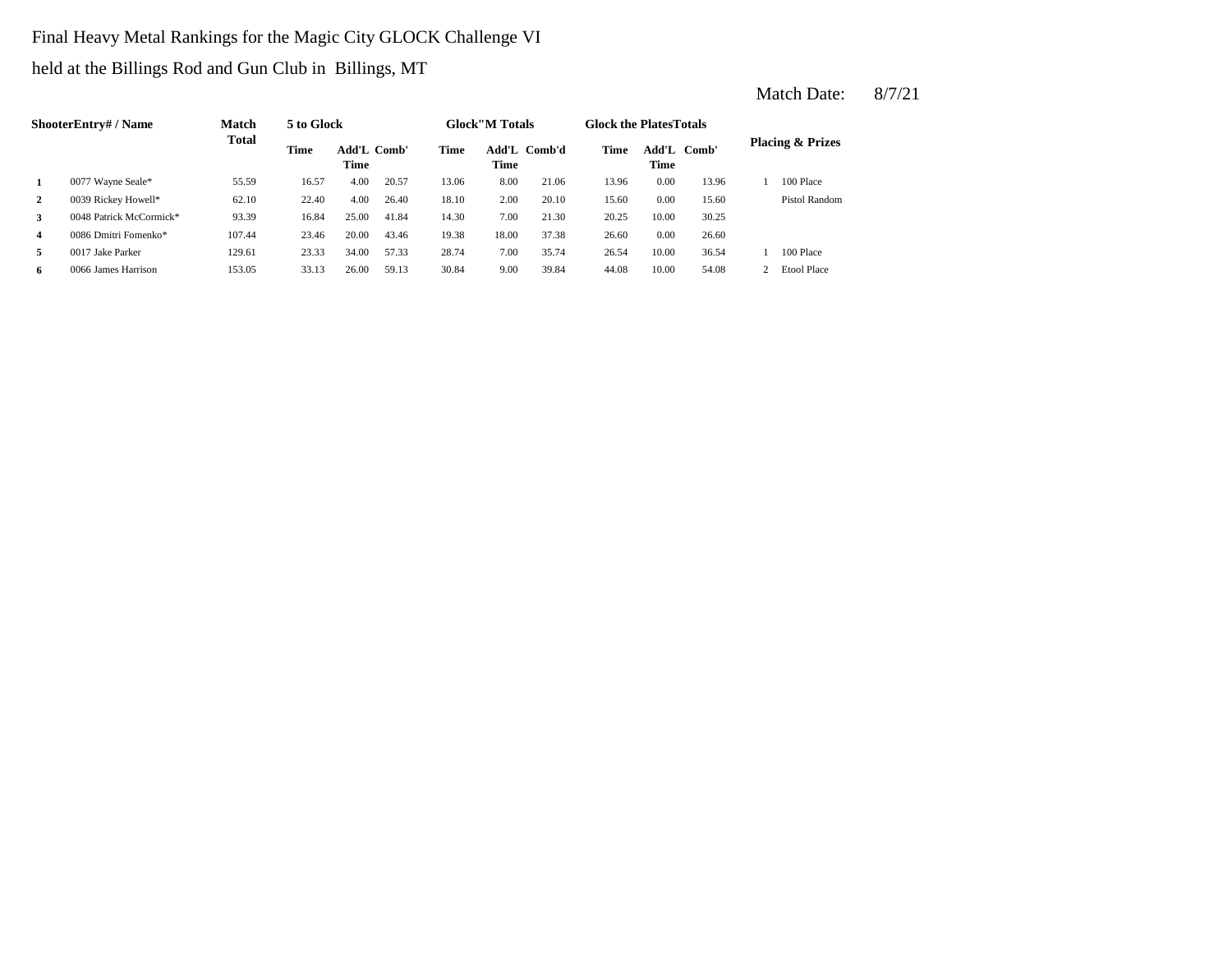Final Heavy Metal Rankings for the Magic City GLOCK Challenge VI

held at the Billings Rod and Gun Club in Billings, MT

|    | <b>ShooterEntry#/Name</b> | <b>Match</b> | 5 to Glock |                     |       |             | <b>Glock</b> "M Totals |              | <b>Glock the PlatesTotals</b> |             |             |                             |
|----|---------------------------|--------------|------------|---------------------|-------|-------------|------------------------|--------------|-------------------------------|-------------|-------------|-----------------------------|
|    |                           | <b>Total</b> | Time       | Add'L Comb'<br>Time |       | <b>Time</b> | Time                   | Add'L Comb'd | Time                          | <b>Time</b> | Add'L Comb' | <b>Placing &amp; Prizes</b> |
|    | 0077 Wayne Seale*         | 55.59        | 16.57      | 4.00                | 20.57 | 13.06       | 8.00                   | 21.06        | 13.96                         | 0.00        | 13.96       | 100 Place                   |
| 2  | 0039 Rickey Howell*       | 62.10        | 22.40      | 4.00                | 26.40 | 18.10       | 2.00                   | 20.10        | 15.60                         | 0.00        | 15.60       | Pistol Random               |
| 3  | 0048 Patrick McCormick*   | 93.39        | 16.84      | 25.00               | 41.84 | 14.30       | 7.00                   | 21.30        | 20.25                         | 10.00       | 30.25       |                             |
| 4  | 0086 Dmitri Fomenko*      | 107.44       | 23.46      | 20.00               | 43.46 | 19.38       | 18.00                  | 37.38        | 26.60                         | 0.00        | 26.60       |                             |
| 5. | 0017 Jake Parker          | 129.61       | 23.33      | 34.00               | 57.33 | 28.74       | 7.00                   | 35.74        | 26.54                         | 10.00       | 36.54       | 100 Place                   |
| 6  | 0066 James Harrison       | 153.05       | 33.13      | 26.00               | 59.13 | 30.84       | 9.00                   | 39.84        | 44.08                         | 10.00       | 54.08       | <b>Etool Place</b>          |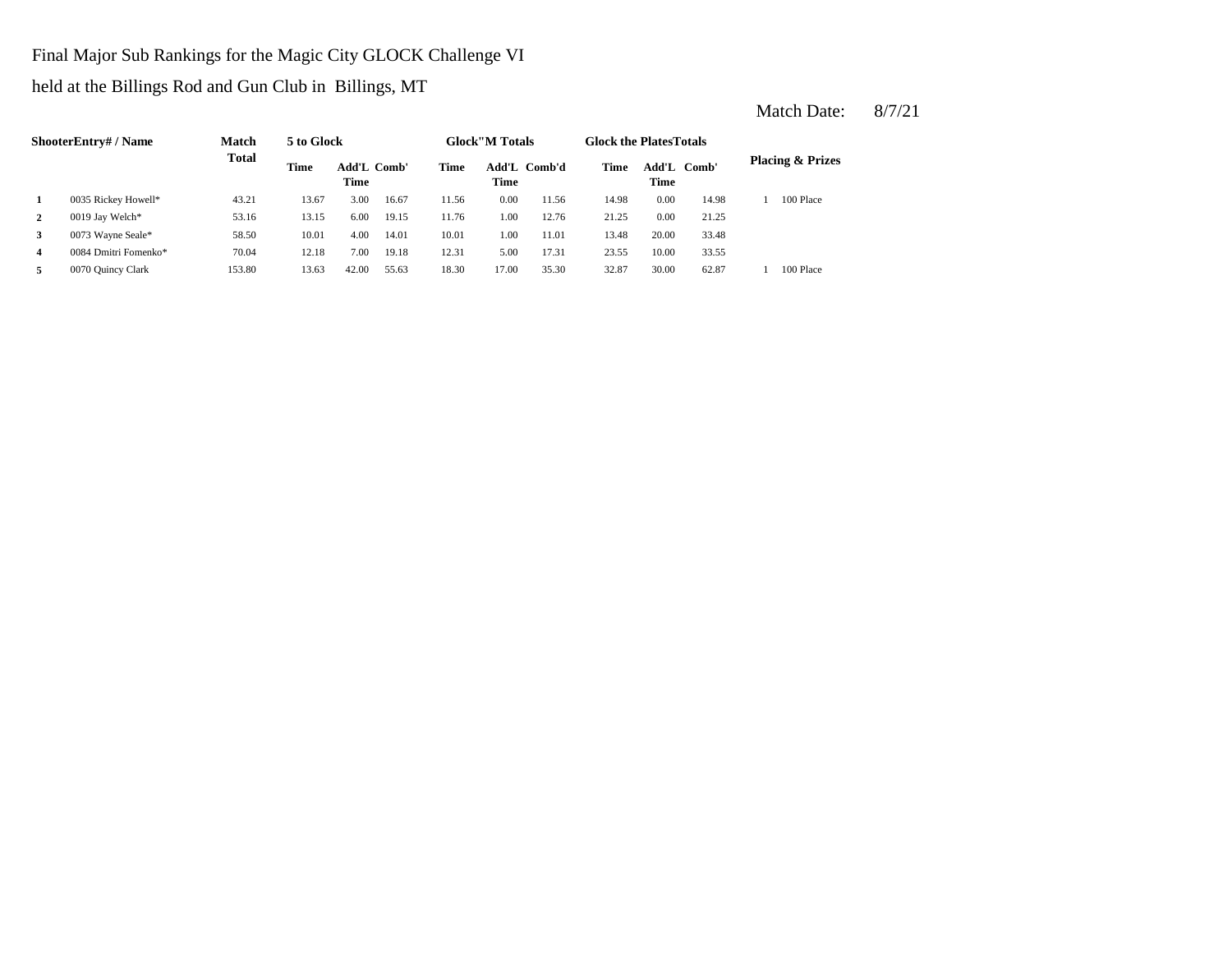Final Major Sub Rankings for the Magic City GLOCK Challenge VI

held at the Billings Rod and Gun Club in Billings, MT

|   | <b>ShooterEntry#/Name</b> | <b>Match</b> | 5 to Glock |                     |       |             | <b>Glock</b> "M Totals |              | <b>Glock the Plates Totals</b> |                     |       |                             |
|---|---------------------------|--------------|------------|---------------------|-------|-------------|------------------------|--------------|--------------------------------|---------------------|-------|-----------------------------|
|   |                           | <b>Total</b> | Time       | Add'L Comb'<br>Time |       | <b>Time</b> | Time                   | Add'L Comb'd | Time                           | Add'L Comb'<br>Time |       | <b>Placing &amp; Prizes</b> |
|   | 0035 Rickey Howell*       | 43.21        | 13.67      | 3.00                | 16.67 | 11.56       | 0.00                   | 11.56        | 14.98                          | 0.00                | 14.98 | 100 Place                   |
| 2 | 0019 Jay Welch*           | 53.16        | 13.15      | 6.00                | 19.15 | 11.76       | 1.00                   | 12.76        | 21.25                          | 0.00                | 21.25 |                             |
| 3 | 0073 Wayne Seale*         | 58.50        | 10.01      | 4.00                | 14.01 | 10.01       | 1.00                   | 11.01        | 13.48                          | 20.00               | 33.48 |                             |
| 4 | 0084 Dmitri Fomenko*      | 70.04        | 12.18      | 7.00                | 19.18 | 12.31       | 5.00                   | 17.31        | 23.55                          | 10.00               | 33.55 |                             |
| 5 | 0070 Quincy Clark         | 153.80       | 13.63      | 42.00               | 55.63 | 18.30       | 17.00                  | 35.30        | 32.87                          | 30.00               | 62.87 | 100 Place                   |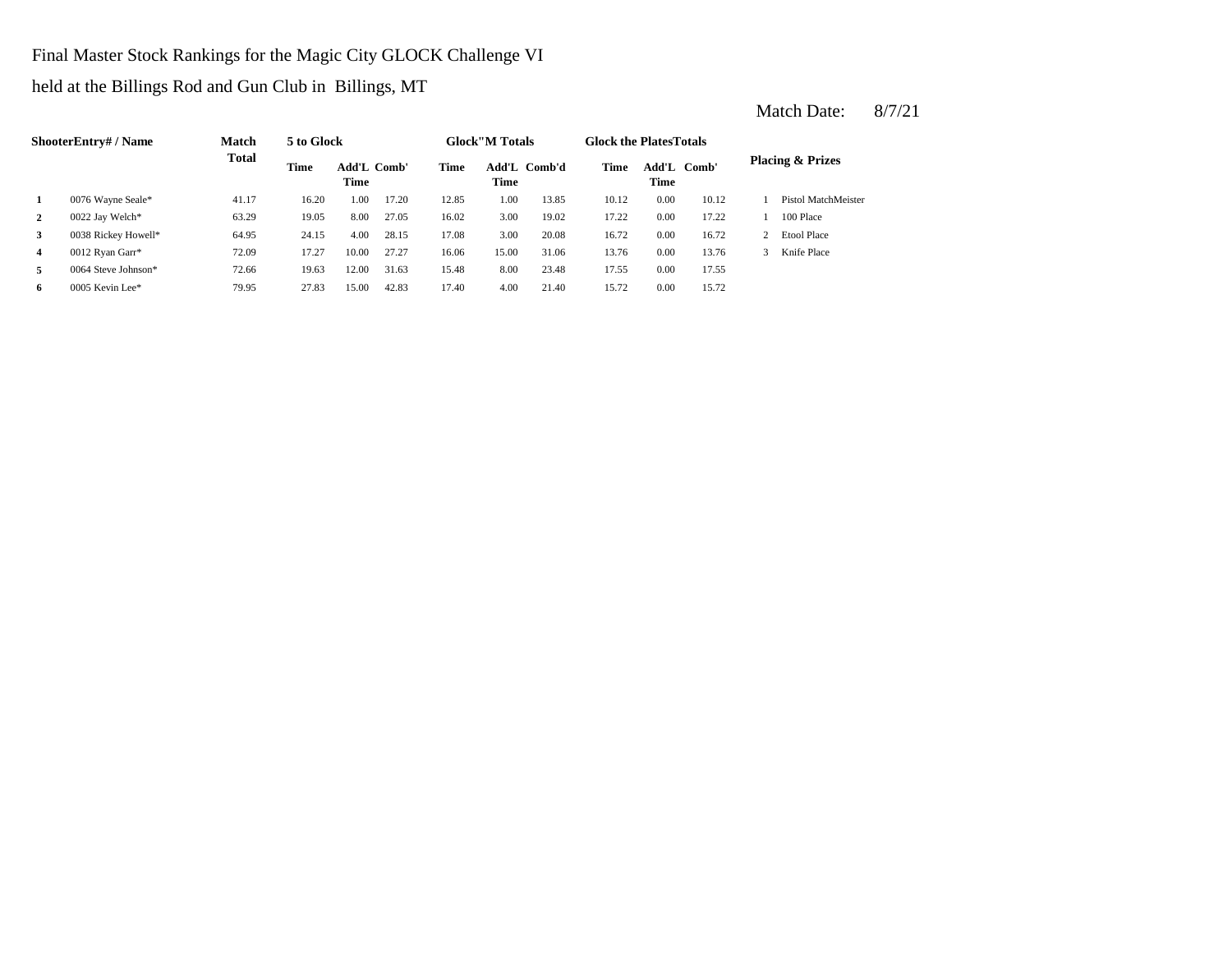Final Master Stock Rankings for the Magic City GLOCK Challenge VI

held at the Billings Rod and Gun Club in Billings, MT

|              | ShooterEntry#/Name  | <b>Match</b> | 5 to Glock |                                   |       |       | <b>Glock</b> "M Totals |              | <b>Glock the Plates Totals</b> |             |             |   |                             |
|--------------|---------------------|--------------|------------|-----------------------------------|-------|-------|------------------------|--------------|--------------------------------|-------------|-------------|---|-----------------------------|
|              |                     | <b>Total</b> | Time       | <b>Add'L Comb'</b><br><b>Time</b> |       | Time  | Time                   | Add'L Comb'd | <b>Time</b>                    | <b>Time</b> | Add'L Comb' |   | <b>Placing &amp; Prizes</b> |
|              | 0076 Wayne Seale*   | 41.17        | 16.20      | 1.00                              | 17.20 | 12.85 | 1.00                   | 13.85        | 10.12                          | 0.00        | 10.12       |   | Pistol MatchMeister         |
| $\mathbf{2}$ | 0022 Jay Welch*     | 63.29        | 19.05      | 8.00                              | 27.05 | 16.02 | 3.00                   | 19.02        | 17.22                          | 0.00        | 17.22       |   | 100 Place                   |
| 3            | 0038 Rickey Howell* | 64.95        | 24.15      | 4.00                              | 28.15 | 17.08 | 3.00                   | 20.08        | 16.72                          | 0.00        | 16.72       |   | <b>Etool Place</b>          |
| 4            | 0012 Ryan Garr*     | 72.09        | 17.27      | 10.00                             | 27.27 | 16.06 | 15.00                  | 31.06        | 13.76                          | 0.00        | 13.76       | 3 | Knife Place                 |
| 5            | 0064 Steve Johnson* | 72.66        | 19.63      | 12.00                             | 31.63 | 15.48 | 8.00                   | 23.48        | 17.55                          | 0.00        | 17.55       |   |                             |
| 6            | 0005 Kevin Lee*     | 79.95        | 27.83      | 15.00                             | 42.83 | 17.40 | 4.00                   | 21.40        | 15.72                          | 0.00        | 15.72       |   |                             |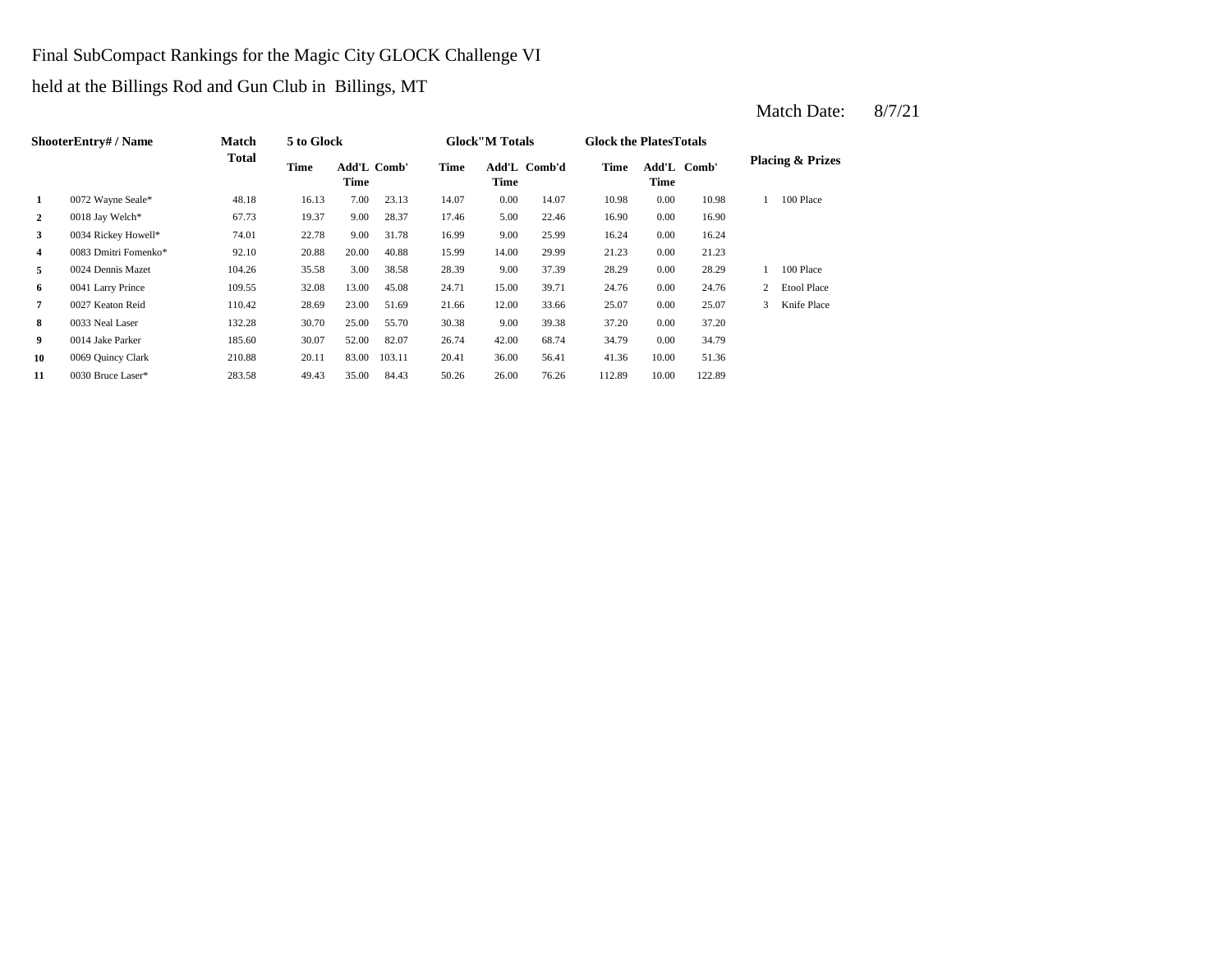Final SubCompact Rankings for the Magic City GLOCK Challenge VI

held at the Billings Rod and Gun Club in Billings, MT

|                | <b>ShooterEntry#/Name</b> | <b>Match</b> | 5 to Glock |                            |        |       | <b>Glock</b> "M Totals |              | <b>Glock the PlatesTotals</b> |                     |        |   |                             |
|----------------|---------------------------|--------------|------------|----------------------------|--------|-------|------------------------|--------------|-------------------------------|---------------------|--------|---|-----------------------------|
|                |                           | Total        | Time       | <b>Add'L Comb'</b><br>Time |        | Time  | Time                   | Add'L Comb'd | Time                          | Add'L Comb'<br>Time |        |   | <b>Placing &amp; Prizes</b> |
| 1              | 0072 Wayne Seale*         | 48.18        | 16.13      | 7.00                       | 23.13  | 14.07 | 0.00                   | 14.07        | 10.98                         | 0.00                | 10.98  |   | 100 Place                   |
| 2              | 0018 Jay Welch*           | 67.73        | 19.37      | 9.00                       | 28.37  | 17.46 | 5.00                   | 22.46        | 16.90                         | 0.00                | 16.90  |   |                             |
| 3              | 0034 Rickey Howell*       | 74.01        | 22.78      | 9.00                       | 31.78  | 16.99 | 9.00                   | 25.99        | 16.24                         | 0.00                | 16.24  |   |                             |
| $\overline{4}$ | 0083 Dmitri Fomenko*      | 92.10        | 20.88      | 20.00                      | 40.88  | 15.99 | 14.00                  | 29.99        | 21.23                         | 0.00                | 21.23  |   |                             |
| 5              | 0024 Dennis Mazet         | 104.26       | 35.58      | 3.00                       | 38.58  | 28.39 | 9.00                   | 37.39        | 28.29                         | 0.00                | 28.29  |   | 100 Place                   |
| 6              | 0041 Larry Prince         | 109.55       | 32.08      | 13.00                      | 45.08  | 24.71 | 15.00                  | 39.71        | 24.76                         | 0.00                | 24.76  | 2 | <b>Etool Place</b>          |
| 7              | 0027 Keaton Reid          | 110.42       | 28.69      | 23.00                      | 51.69  | 21.66 | 12.00                  | 33.66        | 25.07                         | 0.00                | 25.07  | 3 | Knife Place                 |
| 8              | 0033 Neal Laser           | 132.28       | 30.70      | 25.00                      | 55.70  | 30.38 | 9.00                   | 39.38        | 37.20                         | 0.00                | 37.20  |   |                             |
| 9              | 0014 Jake Parker          | 185.60       | 30.07      | 52.00                      | 82.07  | 26.74 | 42.00                  | 68.74        | 34.79                         | 0.00                | 34.79  |   |                             |
| 10             | 0069 Quincy Clark         | 210.88       | 20.11      | 83.00                      | 103.11 | 20.41 | 36.00                  | 56.41        | 41.36                         | 10.00               | 51.36  |   |                             |
| 11             | 0030 Bruce Laser*         | 283.58       | 49.43      | 35.00                      | 84.43  | 50.26 | 26.00                  | 76.26        | 112.89                        | 10.00               | 122.89 |   |                             |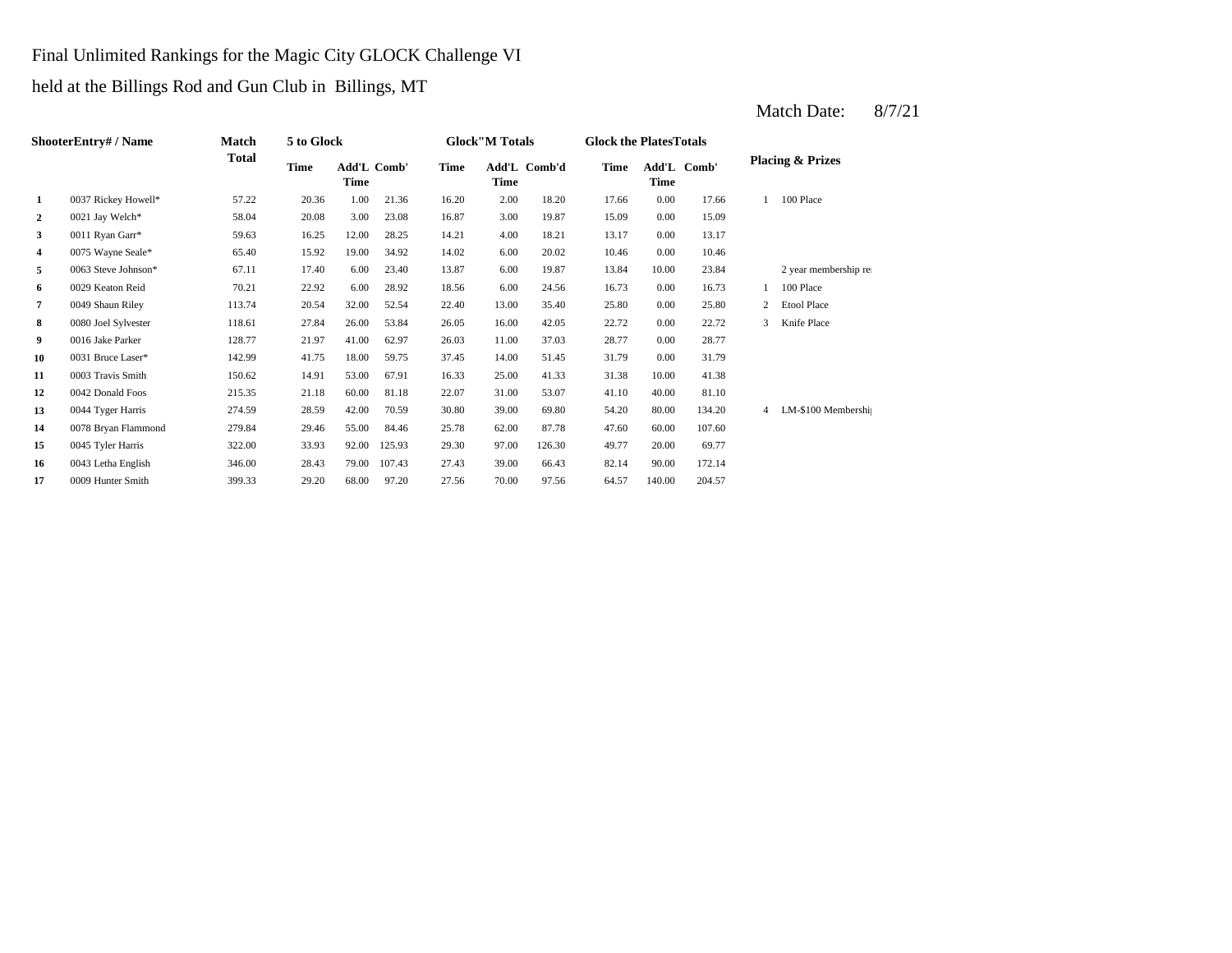### Final Unlimited Rankings for the Magic City GLOCK Challenge VI

held at the Billings Rod and Gun Club in Billings, MT

|    | ShooterEntry# / Name | Match  | 5 to Glock |             |             |             | <b>Glock"M Totals</b> |              | <b>Glock the Plates Totals</b> |        |             |                |                             |
|----|----------------------|--------|------------|-------------|-------------|-------------|-----------------------|--------------|--------------------------------|--------|-------------|----------------|-----------------------------|
|    |                      | Total  | Time       | <b>Time</b> | Add'L Comb' | <b>Time</b> | Time                  | Add'L Comb'd | <b>Time</b>                    | Time   | Add'L Comb' |                | <b>Placing &amp; Prizes</b> |
| 1  | 0037 Rickey Howell*  | 57.22  | 20.36      | 1.00        | 21.36       | 16.20       | 2.00                  | 18.20        | 17.66                          | 0.00   | 17.66       |                | 100 Place                   |
| 2  | 0021 Jay Welch*      | 58.04  | 20.08      | 3.00        | 23.08       | 16.87       | 3.00                  | 19.87        | 15.09                          | 0.00   | 15.09       |                |                             |
| 3  | 0011 Ryan Garr*      | 59.63  | 16.25      | 12.00       | 28.25       | 14.21       | 4.00                  | 18.21        | 13.17                          | 0.00   | 13.17       |                |                             |
| 4  | 0075 Wayne Seale*    | 65.40  | 15.92      | 19.00       | 34.92       | 14.02       | 6.00                  | 20.02        | 10.46                          | 0.00   | 10.46       |                |                             |
| 5  | 0063 Steve Johnson*  | 67.11  | 17.40      | 6.00        | 23.40       | 13.87       | 6.00                  | 19.87        | 13.84                          | 10.00  | 23.84       |                | 2 year membership rea       |
| 6  | 0029 Keaton Reid     | 70.21  | 22.92      | 6.00        | 28.92       | 18.56       | 6.00                  | 24.56        | 16.73                          | 0.00   | 16.73       |                | 100 Place                   |
| 7  | 0049 Shaun Riley     | 113.74 | 20.54      | 32.00       | 52.54       | 22.40       | 13.00                 | 35.40        | 25.80                          | 0.00   | 25.80       | 2              | <b>Etool Place</b>          |
| 8  | 0080 Joel Sylvester  | 118.61 | 27.84      | 26.00       | 53.84       | 26.05       | 16.00                 | 42.05        | 22.72                          | 0.00   | 22.72       | 3              | Knife Place                 |
| 9  | 0016 Jake Parker     | 128.77 | 21.97      | 41.00       | 62.97       | 26.03       | 11.00                 | 37.03        | 28.77                          | 0.00   | 28.77       |                |                             |
| 10 | 0031 Bruce Laser*    | 142.99 | 41.75      | 18.00       | 59.75       | 37.45       | 14.00                 | 51.45        | 31.79                          | 0.00   | 31.79       |                |                             |
| 11 | 0003 Travis Smith    | 150.62 | 14.91      | 53.00       | 67.91       | 16.33       | 25.00                 | 41.33        | 31.38                          | 10.00  | 41.38       |                |                             |
| 12 | 0042 Donald Foos     | 215.35 | 21.18      | 60.00       | 81.18       | 22.07       | 31.00                 | 53.07        | 41.10                          | 40.00  | 81.10       |                |                             |
| 13 | 0044 Tyger Harris    | 274.59 | 28.59      | 42.00       | 70.59       | 30.80       | 39.00                 | 69.80        | 54.20                          | 80.00  | 134.20      | $\overline{4}$ | LM-\$100 Membershij         |
| 14 | 0078 Bryan Flammond  | 279.84 | 29.46      | 55.00       | 84.46       | 25.78       | 62.00                 | 87.78        | 47.60                          | 60.00  | 107.60      |                |                             |
| 15 | 0045 Tyler Harris    | 322.00 | 33.93      | 92.00       | 125.93      | 29.30       | 97.00                 | 126.30       | 49.77                          | 20.00  | 69.77       |                |                             |
| 16 | 0043 Letha English   | 346.00 | 28.43      | 79.00       | 107.43      | 27.43       | 39.00                 | 66.43        | 82.14                          | 90.00  | 172.14      |                |                             |
| 17 | 0009 Hunter Smith    | 399.33 | 29.20      | 68.00       | 97.20       | 27.56       | 70.00                 | 97.56        | 64.57                          | 140.00 | 204.57      |                |                             |